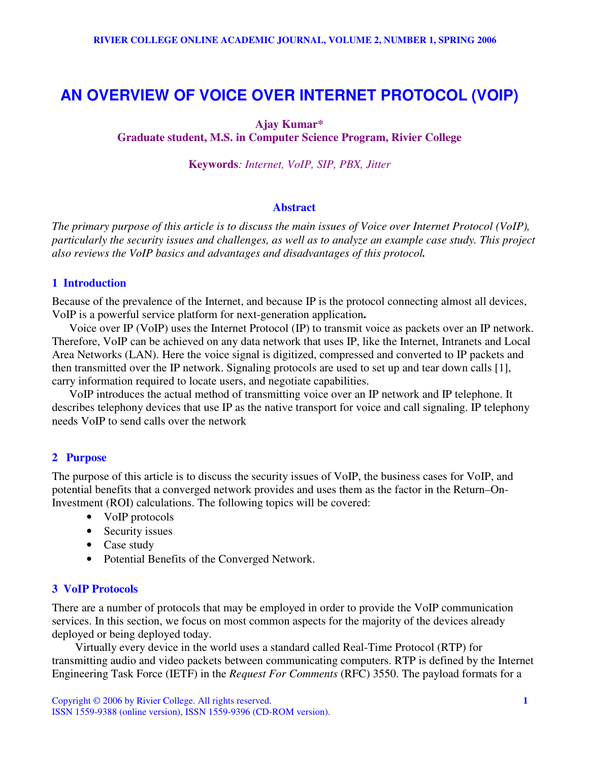# **AN OVERVIEW OF VOICE OVER INTERNET PROTOCOL (VOIP)**

# **Ajay Kumar\***

**Graduate student, M.S. in Computer Science Program, Rivier College**

**Keywords***: Internet, VoIP, SIP, PBX, Jitter*

# **Abstract**

The primary purpose of this article is to discuss the main issues of Voice over Internet Protocol (VoIP), particularly the security issues and challenges, as well as to analyze an example case study. This project *also reviews the VoIP basics and advantages and disadvantages of this protocol.*

# **1 Introduction**

Because of the prevalence of the Internet, and because IP is the protocol connecting almost all devices, VoIP is a powerful service platform for next-generation application**.**

Voice over IP (VoIP) uses the Internet Protocol (IP) to transmit voice as packets over an IP network. Therefore, VoIP can be achieved on any data network that uses IP, like the Internet, Intranets and Local Area Networks (LAN). Here the voice signal is digitized, compressed and converted to IP packets and then transmitted over the IP network. Signaling protocols are used to set up and tear down calls [1], carry information required to locate users, and negotiate capabilities.

VoIP introduces the actual method of transmitting voice over an IP network and IP telephone. It describes telephony devices that use IP as the native transport for voice and call signaling. IP telephony needs VoIP to send calls over the network

# **2 Purpose**

The purpose of this article is to discuss the security issues of VoIP, the business cases for VoIP, and potential benefits that a converged network provides and uses them as the factor in the Return–On-Investment (ROI) calculations. The following topics will be covered:

- VoIP protocols
- Security issues
- Case study
- Potential Benefits of the Converged Network.

# **3 VoIP Protocols**

There are a number of protocols that may be employed in order to provide the VoIP communication services. In this section, we focus on most common aspects for the majority of the devices already deployed or being deployed today.

Virtually every device in the world uses a standard called Real-Time Protocol (RTP) for transmitting audio and video packets between communicating computers. RTP is defined by the Internet Engineering Task Force (IETF) in the *Request For Comments* (RFC) 3550. The payload formats for a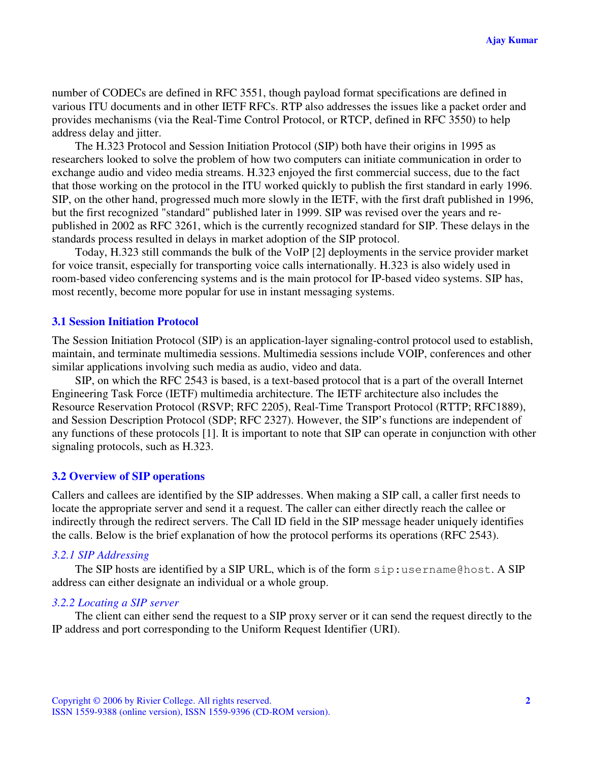number of CODECs are defined in RFC 3551, though payload format specifications are defined in various ITU documents and in other IETF RFCs. RTP also addresses the issues like a packet order and provides mechanisms (via the Real-Time Control Protocol, or RTCP, defined in RFC 3550) to help address delay and jitter.

The H.323 Protocol and Session Initiation Protocol (SIP) both have their origins in 1995 as researchers looked to solve the problem of how two computers can initiate communication in order to exchange audio and video media streams. H.323 enjoyed the first commercial success, due to the fact that those working on the protocol in the ITU worked quickly to publish the first standard in early 1996. SIP, on the other hand, progressed much more slowly in the IETF, with the first draft published in 1996, but the first recognized "standard" published later in 1999. SIP was revised over the years and republished in 2002 as RFC 3261, which is the currently recognized standard for SIP. These delays in the standards process resulted in delays in market adoption of the SIP protocol.

Today, H.323 still commands the bulk of the VoIP [2] deployments in the service provider market for voice transit, especially for transporting voice calls internationally. H.323 is also widely used in room-based video conferencing systems and is the main protocol for IP-based video systems. SIP has, most recently, become more popular for use in instant messaging systems.

# **3.1 Session Initiation Protocol**

The Session Initiation Protocol (SIP) is an application-layer signaling-control protocol used to establish, maintain, and terminate multimedia sessions. Multimedia sessions include VOIP, conferences and other similar applications involving such media as audio, video and data.

SIP, on which the RFC 2543 is based, is a text-based protocol that is a part of the overall Internet Engineering Task Force (IETF) multimedia architecture. The IETF architecture also includes the Resource Reservation Protocol (RSVP; RFC 2205), Real-Time Transport Protocol (RTTP; RFC1889), and Session Description Protocol (SDP; RFC 2327). However, the SIP's functions are independent of any functions of these protocols [1]. It is important to note that SIP can operate in conjunction with other signaling protocols, such as H.323.

#### **3.2 Overview of SIP operations**

Callers and callees are identified by the SIP addresses. When making a SIP call, a caller first needs to locate the appropriate server and send it a request. The caller can either directly reach the callee or indirectly through the redirect servers. The Call ID field in the SIP message header uniquely identifies the calls. Below is the brief explanation of how the protocol performs its operations (RFC 2543).

# *3.2.1 SIP Addressing*

The SIP hosts are identified by a SIP URL, which is of the form sip:username@host. A SIP address can either designate an individual or a whole group.

# *3.2.2 Locating a SIP server*

The client can either send the request to a SIP proxy server or it can send the request directly to the IP address and port corresponding to the Uniform Request Identifier (URI).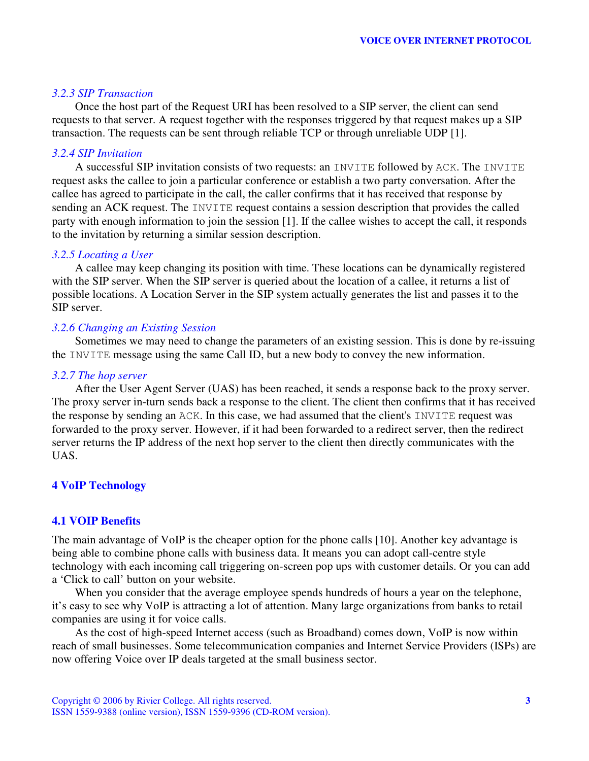# *3.2.3 SIP Transaction*

Once the host part of the Request URI has been resolved to a SIP server, the client can send requests to that server. A request together with the responses triggered by that request makes up a SIP transaction. The requests can be sent through reliable TCP or through unreliable UDP [1].

# *3.2.4 SIP Invitation*

A successful SIP invitation consists of two requests: an INVITE followed by ACK. The INVITE request asks the callee to join a particular conference or establish a two party conversation. After the callee has agreed to participate in the call, the caller confirms that it has received that response by sending an ACK request. The INVITE request contains a session description that provides the called party with enough information to join the session [1]. If the callee wishes to accept the call, it responds to the invitation by returning a similar session description.

### *3.2.5 Locating a User*

A callee may keep changing its position with time. These locations can be dynamically registered with the SIP server. When the SIP server is queried about the location of a callee, it returns a list of possible locations. A Location Server in the SIP system actually generates the list and passes it to the SIP server.

# *3.2.6 Changing an Existing Session*

Sometimes we may need to change the parameters of an existing session. This is done by re-issuing the INVITE message using the same Call ID, but a new body to convey the new information.

# *3.2.7 The hop server*

After the User Agent Server (UAS) has been reached, it sends a response back to the proxy server. The proxy server in-turn sends back a response to the client. The client then confirms that it has received the response by sending an ACK. In this case, we had assumed that the client's INVITE request was forwarded to the proxy server. However, if it had been forwarded to a redirect server, then the redirect server returns the IP address of the next hop server to the client then directly communicates with the UAS.

# **4 VoIP Technology**

### **4.1 VOIP Benefits**

The main advantage of VoIP is the cheaper option for the phone calls [10]. Another key advantage is being able to combine phone calls with business data. It means you can adopt call-centre style technology with each incoming call triggering on-screen pop ups with customer details. Or you can add a 'Click to call' button on your website.

When you consider that the average employee spends hundreds of hours a year on the telephone, it's easy to see why VoIP is attracting a lot of attention. Many large organizations from banks to retail companies are using it for voice calls.

As the cost of high-speed Internet access (such as Broadband) comes down, VoIP is now within reach of small businesses. Some telecommunication companies and Internet Service Providers (ISPs) are now offering Voice over IP deals targeted at the small business sector.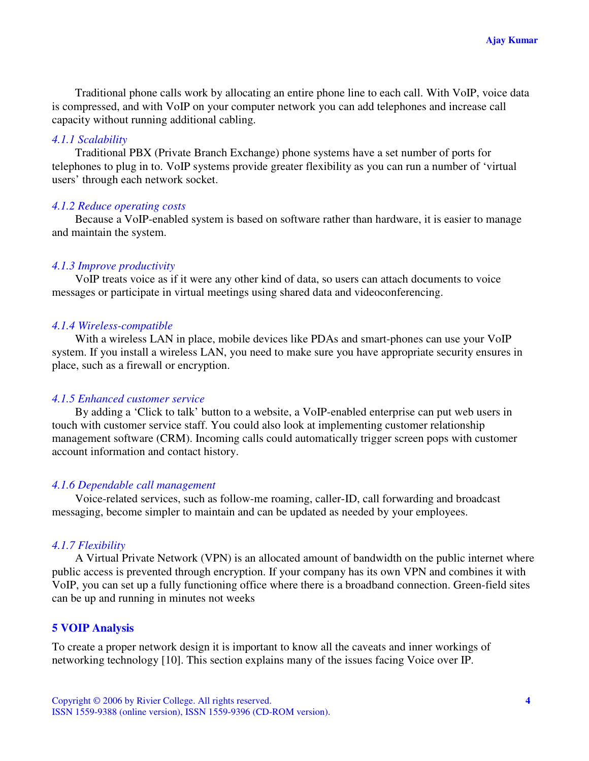Traditional phone calls work by allocating an entire phone line to each call. With VoIP, voice data is compressed, and with VoIP on your computer network you can add telephones and increase call capacity without running additional cabling.

# *4.1.1 Scalability*

Traditional PBX (Private Branch Exchange) phone systems have a set number of ports for telephones to plug in to. VoIP systems provide greater flexibility as you can run a number of 'virtual users' through each network socket.

# *4.1.2 Reduce operating costs*

Because a VoIP-enabled system is based on software rather than hardware, it is easier to manage and maintain the system.

# *4.1.3 Improve productivity*

VoIP treats voice as if it were any other kind of data, so users can attach documents to voice messages or participate in virtual meetings using shared data and videoconferencing.

### *4.1.4 Wireless-compatible*

With a wireless LAN in place, mobile devices like PDAs and smart-phones can use your VoIP system. If you install a wireless LAN, you need to make sure you have appropriate security ensures in place, such as a firewall or encryption.

#### *4.1.5 Enhanced customer service*

By adding a 'Click to talk' button to a website, a VoIP-enabled enterprise can put web users in touch with customer service staff. You could also look at implementing customer relationship management software (CRM). Incoming calls could automatically trigger screen pops with customer account information and contact history.

### *4.1.6 Dependable call management*

Voice-related services, such as follow-me roaming, caller-ID, call forwarding and broadcast messaging, become simpler to maintain and can be updated as needed by your employees.

### *4.1.7 Flexibility*

A Virtual Private Network (VPN) is an allocated amount of bandwidth on the public internet where public access is prevented through encryption. If your company has its own VPN and combines it with VoIP, you can set up a fully functioning office where there is a broadband connection. Green-field sites can be up and running in minutes not weeks

# **5 VOIP Analysis**

To create a proper network design it is important to know all the caveats and inner workings of networking technology [10]. This section explains many of the issues facing Voice over IP.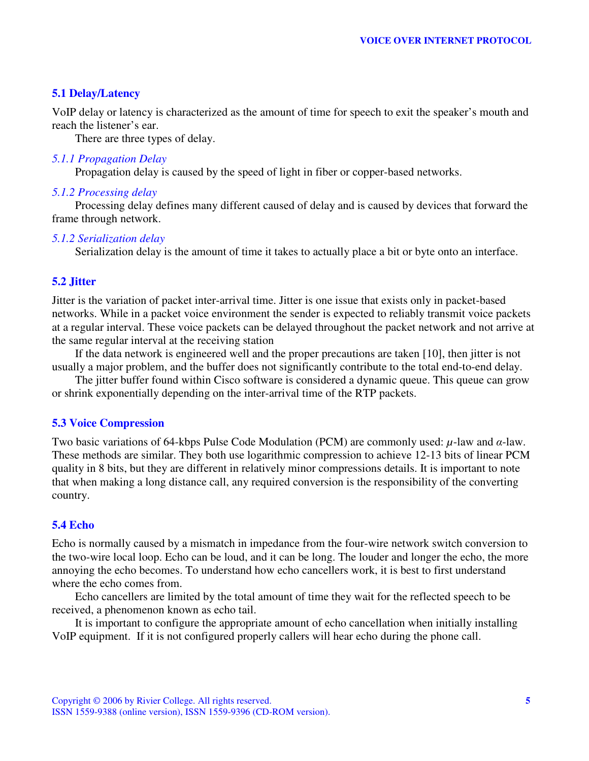# **5.1 Delay/Latency**

VoIP delay or latency is characterized as the amount of time for speech to exit the speaker's mouth and reach the listener's ear.

There are three types of delay.

#### *5.1.1 Propagation Delay*

Propagation delay is caused by the speed of light in fiber or copper-based networks.

#### *5.1.2 Processing delay*

Processing delay defines many different caused of delay and is caused by devices that forward the frame through network.

#### *5.1.2 Serialization delay*

Serialization delay is the amount of time it takes to actually place a bit or byte onto an interface.

# **5.2 Jitter**

Jitter is the variation of packet inter-arrival time. Jitter is one issue that exists only in packet-based networks. While in a packet voice environment the sender is expected to reliably transmit voice packets at a regular interval. These voice packets can be delayed throughout the packet network and not arrive at the same regular interval at the receiving station

If the data network is engineered well and the proper precautions are taken [10], then jitter is not usually a major problem, and the buffer does not significantly contribute to the total end-to-end delay.

The jitter buffer found within Cisco software is considered a dynamic queue. This queue can grow or shrink exponentially depending on the inter-arrival time of the RTP packets.

### **5.3 Voice Compression**

Two basic variations of 64-kbps Pulse Code Modulation (PCM) are commonly used:  $\mu$ -law and  $\alpha$ -law. These methods are similar. They both use logarithmic compression to achieve 12-13 bits of linear PCM quality in 8 bits, but they are different in relatively minor compressions details. It is important to note that when making a long distance call, any required conversion is the responsibility of the converting country.

# **5.4 Echo**

Echo is normally caused by a mismatch in impedance from the four-wire network switch conversion to the two-wire local loop. Echo can be loud, and it can be long. The louder and longer the echo, the more annoying the echo becomes. To understand how echo cancellers work, it is best to first understand where the echo comes from.

Echo cancellers are limited by the total amount of time they wait for the reflected speech to be received, a phenomenon known as echo tail.

It is important to configure the appropriate amount of echo cancellation when initially installing VoIP equipment. If it is not configured properly callers will hear echo during the phone call.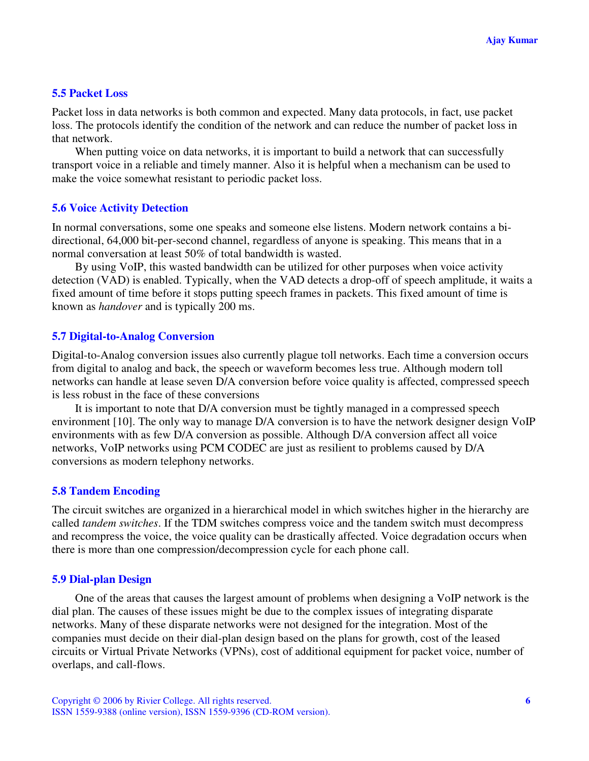# **5.5 Packet Loss**

Packet loss in data networks is both common and expected. Many data protocols, in fact, use packet loss. The protocols identify the condition of the network and can reduce the number of packet loss in that network.

When putting voice on data networks, it is important to build a network that can successfully transport voice in a reliable and timely manner. Also it is helpful when a mechanism can be used to make the voice somewhat resistant to periodic packet loss.

# **5.6 Voice Activity Detection**

In normal conversations, some one speaks and someone else listens. Modern network contains a bidirectional, 64,000 bit-per-second channel, regardless of anyone is speaking. This means that in a normal conversation at least 50% of total bandwidth is wasted.

By using VoIP, this wasted bandwidth can be utilized for other purposes when voice activity detection (VAD) is enabled. Typically, when the VAD detects a drop-off of speech amplitude, it waits a fixed amount of time before it stops putting speech frames in packets. This fixed amount of time is known as *handover* and is typically 200 ms.

# **5.7 Digital-to-Analog Conversion**

Digital-to-Analog conversion issues also currently plague toll networks. Each time a conversion occurs from digital to analog and back, the speech or waveform becomes less true. Although modern toll networks can handle at lease seven D/A conversion before voice quality is affected, compressed speech is less robust in the face of these conversions

It is important to note that D/A conversion must be tightly managed in a compressed speech environment [10]. The only way to manage D/A conversion is to have the network designer design VoIP environments with as few D/A conversion as possible. Although D/A conversion affect all voice networks, VoIP networks using PCM CODEC are just as resilient to problems caused by D/A conversions as modern telephony networks.

# **5.8 Tandem Encoding**

The circuit switches are organized in a hierarchical model in which switches higher in the hierarchy are called *tandem switches*. If the TDM switches compress voice and the tandem switch must decompress and recompress the voice, the voice quality can be drastically affected. Voice degradation occurs when there is more than one compression/decompression cycle for each phone call.

# **5.9 Dial-plan Design**

One of the areas that causes the largest amount of problems when designing a VoIP network is the dial plan. The causes of these issues might be due to the complex issues of integrating disparate networks. Many of these disparate networks were not designed for the integration. Most of the companies must decide on their dial-plan design based on the plans for growth, cost of the leased circuits or Virtual Private Networks (VPNs), cost of additional equipment for packet voice, number of overlaps, and call-flows.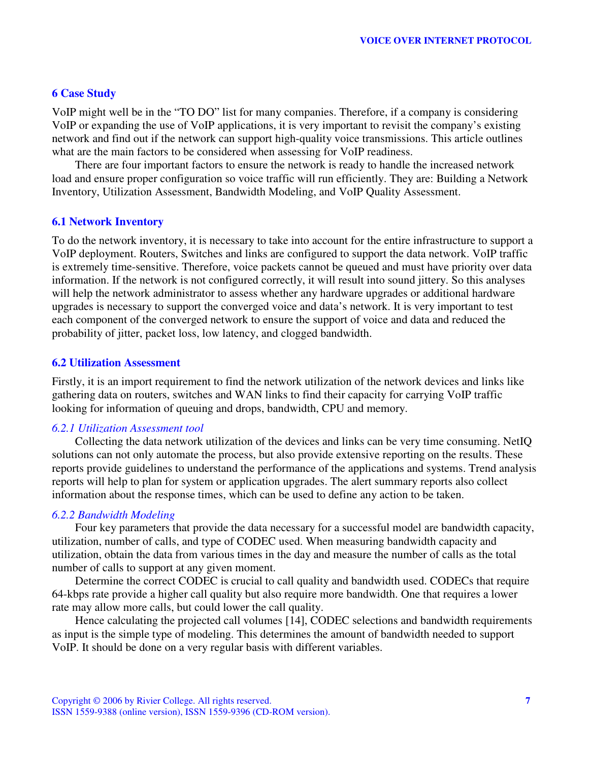# **6 Case Study**

VoIP might well be in the "TO DO" list for many companies. Therefore, if a company is considering VoIP or expanding the use of VoIP applications, it is very important to revisit the company's existing network and find out if the network can support high-quality voice transmissions. This article outlines what are the main factors to be considered when assessing for VoIP readiness.

There are four important factors to ensure the network is ready to handle the increased network load and ensure proper configuration so voice traffic will run efficiently. They are: Building a Network Inventory, Utilization Assessment, Bandwidth Modeling, and VoIP Quality Assessment.

# **6.1 Network Inventory**

To do the network inventory, it is necessary to take into account for the entire infrastructure to support a VoIP deployment. Routers, Switches and links are configured to support the data network. VoIP traffic is extremely time-sensitive. Therefore, voice packets cannot be queued and must have priority over data information. If the network is not configured correctly, it will result into sound jittery. So this analyses will help the network administrator to assess whether any hardware upgrades or additional hardware upgrades is necessary to support the converged voice and data's network. It is very important to test each component of the converged network to ensure the support of voice and data and reduced the probability of jitter, packet loss, low latency, and clogged bandwidth.

# **6.2 Utilization Assessment**

Firstly, it is an import requirement to find the network utilization of the network devices and links like gathering data on routers, switches and WAN links to find their capacity for carrying VoIP traffic looking for information of queuing and drops, bandwidth, CPU and memory.

# *6.2.1 Utilization Assessment tool*

Collecting the data network utilization of the devices and links can be very time consuming. NetIQ solutions can not only automate the process, but also provide extensive reporting on the results. These reports provide guidelines to understand the performance of the applications and systems. Trend analysis reports will help to plan for system or application upgrades. The alert summary reports also collect information about the response times, which can be used to define any action to be taken.

# *6.2.2 Bandwidth Modeling*

Four key parameters that provide the data necessary for a successful model are bandwidth capacity, utilization, number of calls, and type of CODEC used. When measuring bandwidth capacity and utilization, obtain the data from various times in the day and measure the number of calls as the total number of calls to support at any given moment.

Determine the correct CODEC is crucial to call quality and bandwidth used. CODECs that require 64-kbps rate provide a higher call quality but also require more bandwidth. One that requires a lower rate may allow more calls, but could lower the call quality.

Hence calculating the projected call volumes [14], CODEC selections and bandwidth requirements as input is the simple type of modeling. This determines the amount of bandwidth needed to support VoIP. It should be done on a very regular basis with different variables.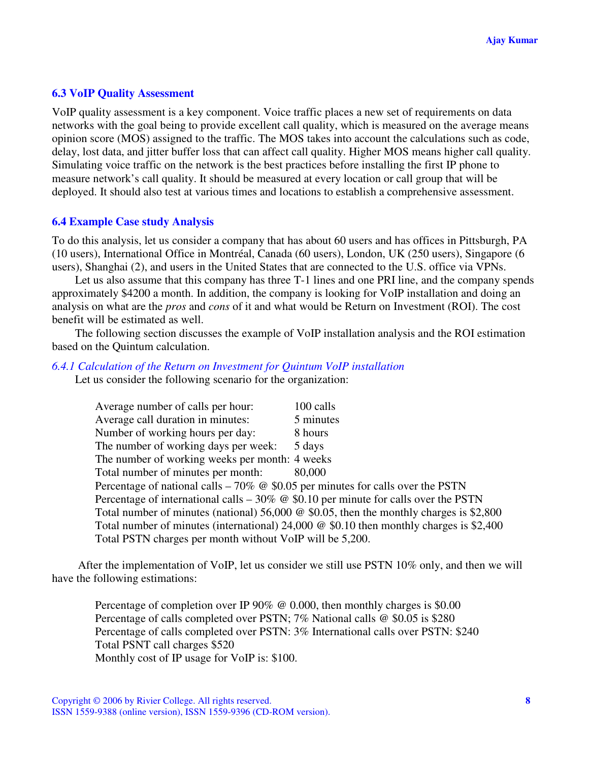# **6.3 VoIP Quality Assessment**

VoIP quality assessment is a key component. Voice traffic places a new set of requirements on data networks with the goal being to provide excellent call quality, which is measured on the average means opinion score (MOS) assigned to the traffic. The MOS takes into account the calculations such as code, delay, lost data, and jitter buffer loss that can affect call quality. Higher MOS means higher call quality. Simulating voice traffic on the network is the best practices before installing the first IP phone to measure network's call quality. It should be measured at every location or call group that will be deployed. It should also test at various times and locations to establish a comprehensive assessment.

# **6.4 Example Case study Analysis**

To do this analysis, let us consider a company that has about 60 users and has offices in Pittsburgh, PA (10 users), International Office in Montréal, Canada (60 users), London, UK (250 users), Singapore (6 users), Shanghai (2), and users in the United States that are connected to the U.S. office via VPNs.

Let us also assume that this company has three T-1 lines and one PRI line, and the company spends approximately \$4200 a month. In addition, the company is looking for VoIP installation and doing an analysis on what are the *pros* and *cons* of it and what would be Return on Investment (ROI). The cost benefit will be estimated as well.

The following section discusses the example of VoIP installation analysis and the ROI estimation based on the Quintum calculation.

# *6.4.1 Calculation of the Return on Investment for Quintum VoIP installation*

Let us consider the following scenario for the organization:

| Average number of calls per hour:                                                        | 100 calls                                                                                      |
|------------------------------------------------------------------------------------------|------------------------------------------------------------------------------------------------|
| Average call duration in minutes:                                                        | 5 minutes                                                                                      |
| Number of working hours per day:                                                         | 8 hours                                                                                        |
| The number of working days per week:                                                     | 5 days                                                                                         |
| The number of working weeks per month: 4 weeks                                           |                                                                                                |
| Total number of minutes per month:                                                       | 80,000                                                                                         |
| Percentage of national calls – 70% $\omega$ \$0.05 per minutes for calls over the PSTN   |                                                                                                |
| Percentage of international calls $-30\%$ @ \$0.10 per minute for calls over the PSTN    |                                                                                                |
|                                                                                          | Total number of minutes (national) 56,000 $\omega$ \$0.05, then the monthly charges is \$2,800 |
| Total number of minutes (international) $24,000 \& 0.10$ then monthly charges is \$2,400 |                                                                                                |
| Total PSTN charges per month without VoIP will be 5,200.                                 |                                                                                                |

After the implementation of VoIP, let us consider we still use PSTN 10% only, and then we will have the following estimations:

Percentage of completion over IP 90% @ 0.000, then monthly charges is \$0.00 Percentage of calls completed over PSTN; 7% National calls @ \$0.05 is \$280 Percentage of calls completed over PSTN: 3% International calls over PSTN: \$240 Total PSNT call charges \$520 Monthly cost of IP usage for VoIP is: \$100.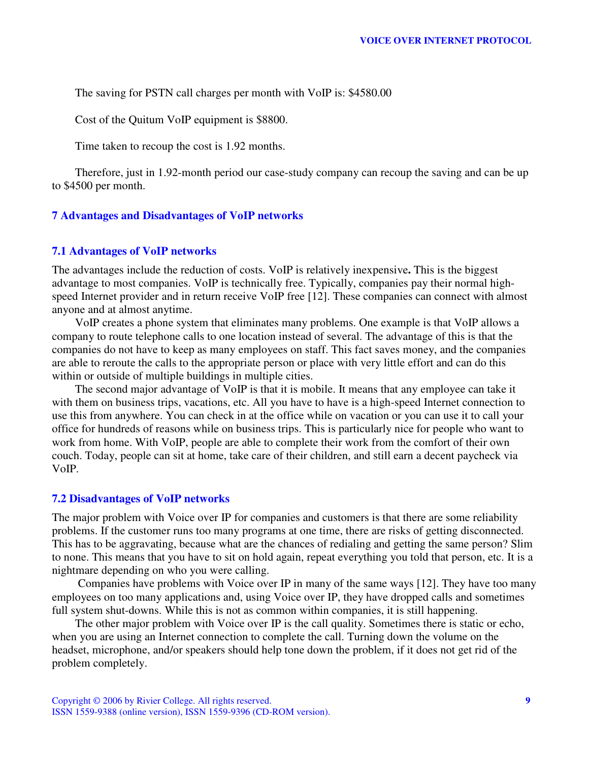The saving for PSTN call charges per month with VoIP is: \$4580.00

Cost of the Quitum VoIP equipment is \$8800.

Time taken to recoup the cost is 1.92 months.

Therefore, just in 1.92-month period our case-study company can recoup the saving and can be up to \$4500 per month.

# **7 Advantages and Disadvantages of VoIP networks**

#### **7.1 Advantages of VoIP networks**

The advantages include the reduction of costs. VoIP is relatively inexpensive**.** This is the biggest advantage to most companies. VoIP is technically free. Typically, companies pay their normal highspeed Internet provider and in return receive VoIP free [12]. These companies can connect with almost anyone and at almost anytime.

VoIP creates a phone system that eliminates many problems. One example is that VoIP allows a company to route telephone calls to one location instead of several. The advantage of this is that the companies do not have to keep as many employees on staff. This fact saves money, and the companies are able to reroute the calls to the appropriate person or place with very little effort and can do this within or outside of multiple buildings in multiple cities.

The second major advantage of VoIP is that it is mobile. It means that any employee can take it with them on business trips, vacations, etc. All you have to have is a high-speed Internet connection to use this from anywhere. You can check in at the office while on vacation or you can use it to call your office for hundreds of reasons while on business trips. This is particularly nice for people who want to work from home. With VoIP, people are able to complete their work from the comfort of their own couch. Today, people can sit at home, take care of their children, and still earn a decent paycheck via VoIP.

### **7.2 Disadvantages of VoIP networks**

The major problem with Voice over IP for companies and customers is that there are some reliability problems. If the customer runs too many programs at one time, there are risks of getting disconnected. This has to be aggravating, because what are the chances of redialing and getting the same person? Slim to none. This means that you have to sit on hold again, repeat everything you told that person, etc. It is a nightmare depending on who you were calling.

Companies have problems with Voice over IP in many of the same ways [12]. They have too many employees on too many applications and, using Voice over IP, they have dropped calls and sometimes full system shut-downs. While this is not as common within companies, it is still happening.

The other major problem with Voice over IP is the call quality. Sometimes there is static or echo, when you are using an Internet connection to complete the call. Turning down the volume on the headset, microphone, and/or speakers should help tone down the problem, if it does not get rid of the problem completely.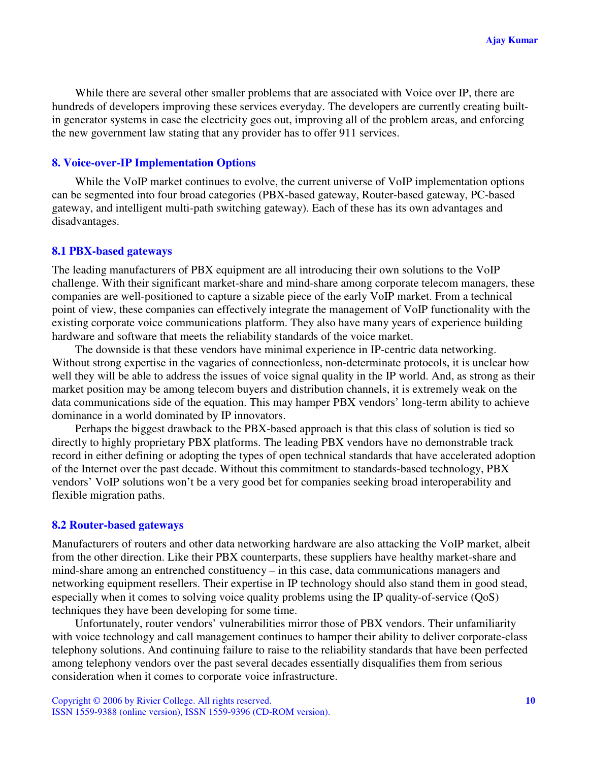While there are several other smaller problems that are associated with Voice over IP, there are hundreds of developers improving these services everyday. The developers are currently creating builtin generator systems in case the electricity goes out, improving all of the problem areas, and enforcing the new government law stating that any provider has to offer 911 services.

### **8. Voice-over-IP Implementation Options**

While the VoIP market continues to evolve, the current universe of VoIP implementation options can be segmented into four broad categories (PBX-based gateway, Router-based gateway, PC-based gateway, and intelligent multi-path switching gateway). Each of these has its own advantages and disadvantages.

#### **8.1 PBX-based gateways**

The leading manufacturers of PBX equipment are all introducing their own solutions to the VoIP challenge. With their significant market-share and mind-share among corporate telecom managers, these companies are well-positioned to capture a sizable piece of the early VoIP market. From a technical point of view, these companies can effectively integrate the management of VoIP functionality with the existing corporate voice communications platform. They also have many years of experience building hardware and software that meets the reliability standards of the voice market.

The downside is that these vendors have minimal experience in IP-centric data networking. Without strong expertise in the vagaries of connectionless, non-determinate protocols, it is unclear how well they will be able to address the issues of voice signal quality in the IP world. And, as strong as their market position may be among telecom buyers and distribution channels, it is extremely weak on the data communications side of the equation. This may hamper PBX vendors' long-term ability to achieve dominance in a world dominated by IP innovators.

Perhaps the biggest drawback to the PBX-based approach is that this class of solution is tied so directly to highly proprietary PBX platforms. The leading PBX vendors have no demonstrable track record in either defining or adopting the types of open technical standards that have accelerated adoption of the Internet over the past decade. Without this commitment to standards-based technology, PBX vendors' VoIP solutions won't be a very good bet for companies seeking broad interoperability and flexible migration paths.

#### **8.2 Router-based gateways**

Manufacturers of routers and other data networking hardware are also attacking the VoIP market, albeit from the other direction. Like their PBX counterparts, these suppliers have healthy market-share and mind-share among an entrenched constituency – in this case, data communications managers and networking equipment resellers. Their expertise in IP technology should also stand them in good stead, especially when it comes to solving voice quality problems using the IP quality-of-service (QoS) techniques they have been developing for some time.

Unfortunately, router vendors' vulnerabilities mirror those of PBX vendors. Their unfamiliarity with voice technology and call management continues to hamper their ability to deliver corporate-class telephony solutions. And continuing failure to raise to the reliability standards that have been perfected among telephony vendors over the past several decades essentially disqualifies them from serious consideration when it comes to corporate voice infrastructure.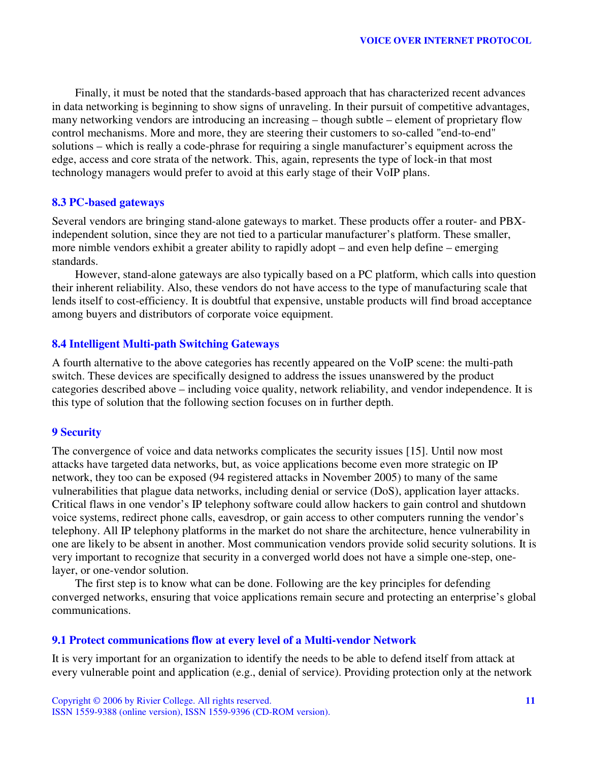Finally, it must be noted that the standards-based approach that has characterized recent advances in data networking is beginning to show signs of unraveling. In their pursuit of competitive advantages, many networking vendors are introducing an increasing – though subtle – element of proprietary flow control mechanisms. More and more, they are steering their customers to so-called "end-to-end" solutions – which is really a code-phrase for requiring a single manufacturer's equipment across the edge, access and core strata of the network. This, again, represents the type of lock-in that most technology managers would prefer to avoid at this early stage of their VoIP plans.

# **8.3 PC-based gateways**

Several vendors are bringing stand-alone gateways to market. These products offer a router- and PBXindependent solution, since they are not tied to a particular manufacturer's platform. These smaller, more nimble vendors exhibit a greater ability to rapidly adopt – and even help define – emerging standards.

However, stand-alone gateways are also typically based on a PC platform, which calls into question their inherent reliability. Also, these vendors do not have access to the type of manufacturing scale that lends itself to cost-efficiency. It is doubtful that expensive, unstable products will find broad acceptance among buyers and distributors of corporate voice equipment.

# **8.4 Intelligent Multi-path Switching Gateways**

A fourth alternative to the above categories has recently appeared on the VoIP scene: the multi-path switch. These devices are specifically designed to address the issues unanswered by the product categories described above – including voice quality, network reliability, and vendor independence. It is this type of solution that the following section focuses on in further depth.

# **9 Security**

The convergence of voice and data networks complicates the security issues [15]. Until now most attacks have targeted data networks, but, as voice applications become even more strategic on IP network, they too can be exposed (94 registered attacks in November 2005) to many of the same vulnerabilities that plague data networks, including denial or service (DoS), application layer attacks. Critical flaws in one vendor's IP telephony software could allow hackers to gain control and shutdown voice systems, redirect phone calls, eavesdrop, or gain access to other computers running the vendor's telephony. All IP telephony platforms in the market do not share the architecture, hence vulnerability in one are likely to be absent in another. Most communication vendors provide solid security solutions. It is very important to recognize that security in a converged world does not have a simple one-step, onelayer, or one-vendor solution.

The first step is to know what can be done. Following are the key principles for defending converged networks, ensuring that voice applications remain secure and protecting an enterprise's global communications.

### **9.1 Protect communications flow at every level of a Multi-vendor Network**

It is very important for an organization to identify the needs to be able to defend itself from attack at every vulnerable point and application (e.g., denial of service). Providing protection only at the network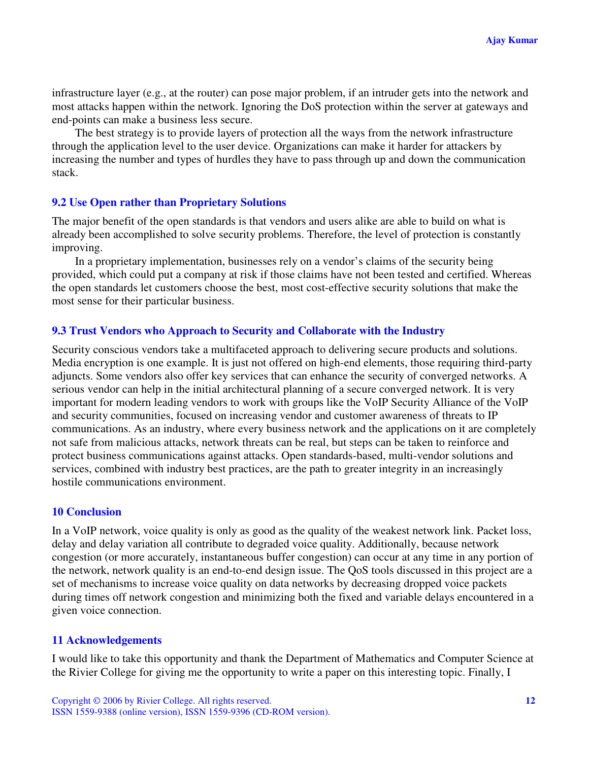infrastructure layer (e.g., at the router) can pose major problem, if an intruder gets into the network and most attacks happen within the network. Ignoring the DoS protection within the server at gateways and end-points can make a business less secure.

The best strategy is to provide layers of protection all the ways from the network infrastructure through the application level to the user device. Organizations can make it harder for attackers by increasing the number and types of hurdles they have to pass through up and down the communication stack.

# **9.2 Use Open rather than Proprietary Solutions**

The major benefit of the open standards is that vendors and users alike are able to build on what is already been accomplished to solve security problems. Therefore, the level of protection is constantly improving.

In a proprietary implementation, businesses rely on a vendor's claims of the security being provided, which could put a company at risk if those claims have not been tested and certified. Whereas the open standards let customers choose the best, most cost-effective security solutions that make the most sense for their particular business.

# **9.3 Trust Vendors who Approach to Security and Collaborate with the Industry**

Security conscious vendors take a multifaceted approach to delivering secure products and solutions. Media encryption is one example. It is just not offered on high-end elements, those requiring third-party adjuncts. Some vendors also offer key services that can enhance the security of converged networks. A serious vendor can help in the initial architectural planning of a secure converged network. It is very important for modern leading vendors to work with groups like the VoIP Security Alliance of the VoIP and security communities, focused on increasing vendor and customer awareness of threats to IP communications. As an industry, where every business network and the applications on it are completely not safe from malicious attacks, network threats can be real, but steps can be taken to reinforce and protect business communications against attacks. Open standards-based, multi-vendor solutions and services, combined with industry best practices, are the path to greater integrity in an increasingly hostile communications environment.

# **10 Conclusion**

In a VoIP network, voice quality is only as good as the quality of the weakest network link. Packet loss, delay and delay variation all contribute to degraded voice quality. Additionally, because network congestion (or more accurately, instantaneous buffer congestion) can occur at any time in any portion of the network, network quality is an end-to-end design issue. The QoS tools discussed in this project are a set of mechanisms to increase voice quality on data networks by decreasing dropped voice packets during times off network congestion and minimizing both the fixed and variable delays encountered in a given voice connection.

### **11 Acknowledgements**

I would like to take this opportunity and thank the Department of Mathematics and Computer Science at the Rivier College for giving me the opportunity to write a paper on this interesting topic. Finally, I